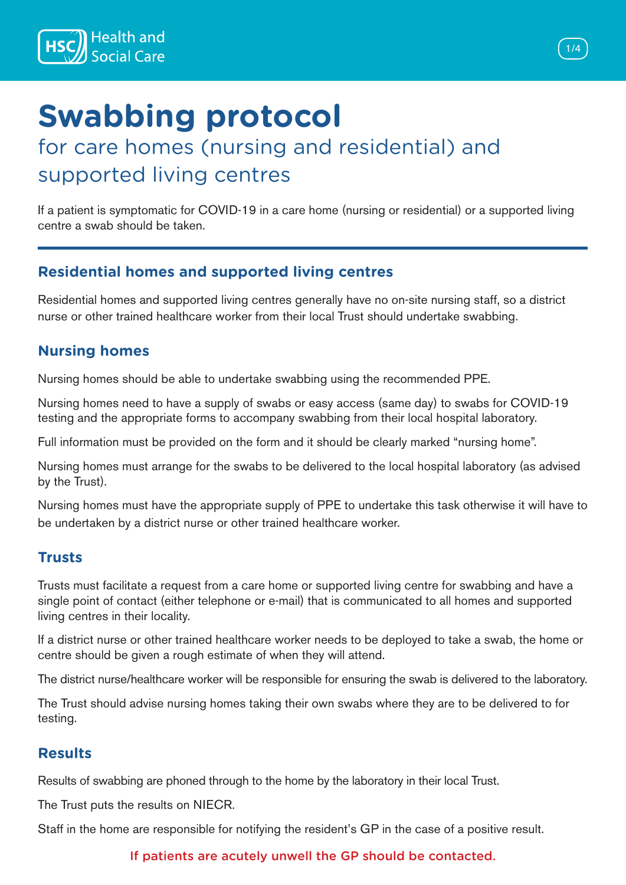

# **Swabbing protocol**

### for care homes (nursing and residential) and supported living centres

If a patient is symptomatic for COVID-19 in a care home (nursing or residential) or a supported living centre a swab should be taken.

### **Residential homes and supported living centres**

Residential homes and supported living centres generally have no on-site nursing staff, so a district nurse or other trained healthcare worker from their local Trust should undertake swabbing.

### **Nursing homes**

Nursing homes should be able to undertake swabbing using the recommended PPE.

Nursing homes need to have a supply of swabs or easy access (same day) to swabs for COVID-19 testing and the appropriate forms to accompany swabbing from their local hospital laboratory.

Full information must be provided on the form and it should be clearly marked "nursing home".

Nursing homes must arrange for the swabs to be delivered to the local hospital laboratory (as advised by the Trust).

Nursing homes must have the appropriate supply of PPE to undertake this task otherwise it will have to be undertaken by a district nurse or other trained healthcare worker.

### **Trusts**

Trusts must facilitate a request from a care home or supported living centre for swabbing and have a single point of contact (either telephone or e-mail) that is communicated to all homes and supported living centres in their locality.

If a district nurse or other trained healthcare worker needs to be deployed to take a swab, the home or centre should be given a rough estimate of when they will attend.

The district nurse/healthcare worker will be responsible for ensuring the swab is delivered to the laboratory.

The Trust should advise nursing homes taking their own swabs where they are to be delivered to for testing.

### **Results**

Results of swabbing are phoned through to the home by the laboratory in their local Trust.

The Trust puts the results on NIECR.

Staff in the home are responsible for notifying the resident's GP in the case of a positive result.

#### If patients are acutely unwell the GP should be contacted.

1/4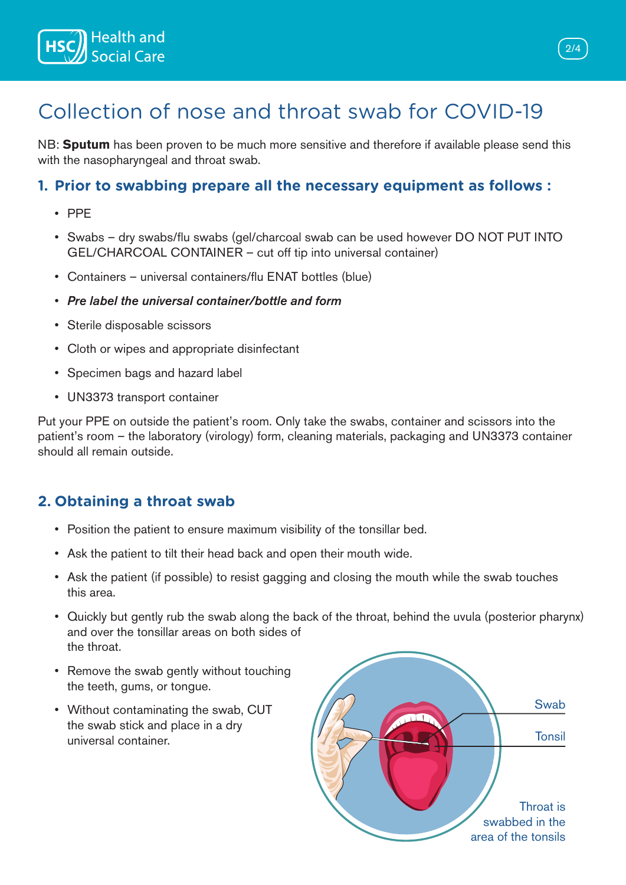

## Collection of nose and throat swab for COVID-19

NB: **Sputum** has been proven to be much more sensitive and therefore if available please send this with the nasopharyngeal and throat swab.

#### **1. Prior to swabbing prepare all the necessary equipment as follows :**

- PPE
- Swabs dry swabs/flu swabs (gel/charcoal swab can be used however DO NOT PUT INTO GEL/CHARCOAL CONTAINER – cut off tip into universal container)
- Containers universal containers/flu ENAT bottles (blue)
- *Pre label the universal container/bottle and form*
- Sterile disposable scissors
- Cloth or wipes and appropriate disinfectant
- Specimen bags and hazard label
- UN3373 transport container

Put your PPE on outside the patient's room. Only take the swabs, container and scissors into the patient's room – the laboratory (virology) form, cleaning materials, packaging and UN3373 container should all remain outside.

### **2. Obtaining a throat swab**

- Position the patient to ensure maximum visibility of the tonsillar bed.
- Ask the patient to tilt their head back and open their mouth wide.
- Ask the patient (if possible) to resist gagging and closing the mouth while the swab touches this area.
- Quickly but gently rub the swab along the back of the throat, behind the uvula (posterior pharynx) and over the tonsillar areas on both sides of the throat.
- Remove the swab gently without touching the teeth, gums, or tongue.
- Without contaminating the swab, CUT the swab stick and place in a dry universal container.



2/4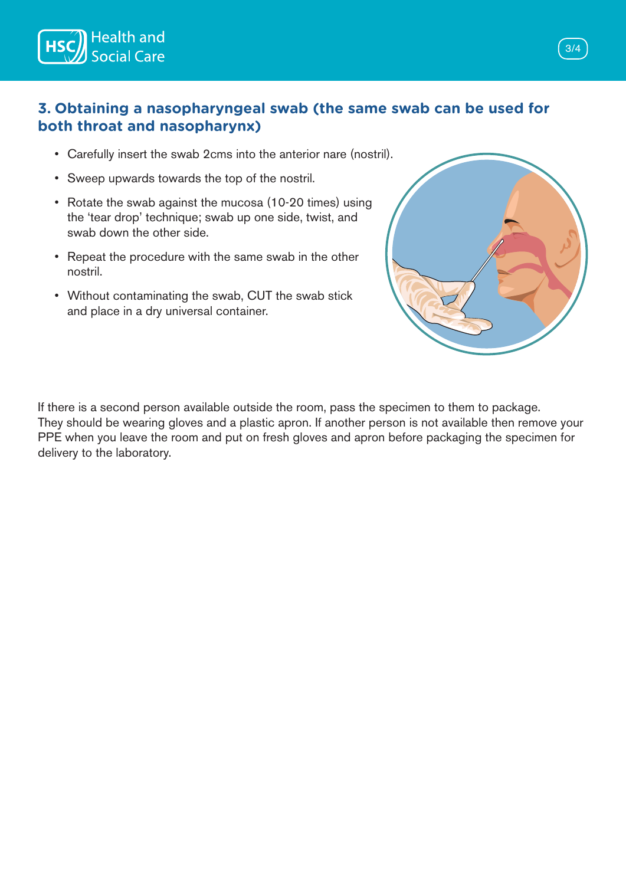

### **3. Obtaining a nasopharyngeal swab (the same swab can be used for both throat and nasopharynx)**

- Carefully insert the swab 2cms into the anterior nare (nostril).
- Sweep upwards towards the top of the nostril.
- Rotate the swab against the mucosa (10-20 times) using the 'tear drop' technique; swab up one side, twist, and swab down the other side.
- Repeat the procedure with the same swab in the other nostril.
- Without contaminating the swab, CUT the swab stick and place in a dry universal container.



If there is a second person available outside the room, pass the specimen to them to package. They should be wearing gloves and a plastic apron. If another person is not available then remove your PPE when you leave the room and put on fresh gloves and apron before packaging the specimen for delivery to the laboratory.